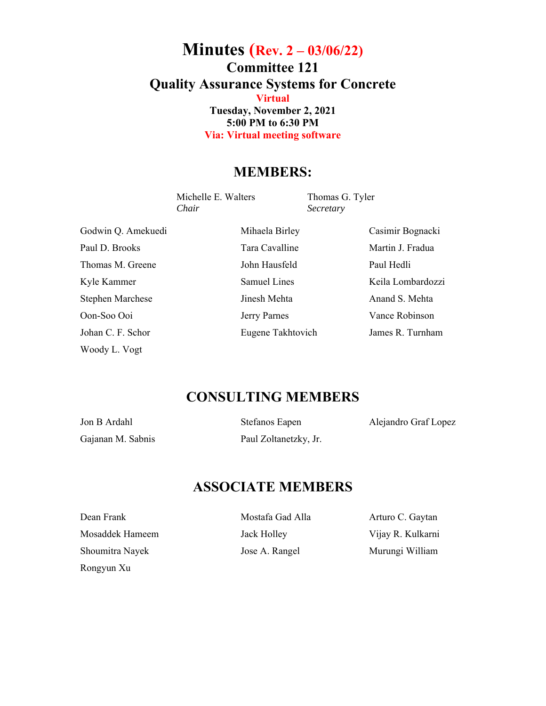## **Minutes (Rev. 2 – 03/06/22) Committee 121 Quality Assurance Systems for Concrete Virtual Tuesday, November 2, 2021 5:00 PM to 6:30 PM Via: Virtual meeting software**

## **MEMBERS:**

Michelle E. Walters Thomas G. Tyler *Chair Secretary* 

Godwin Q. Amekuedi Mihaela Birley Casimir Bognacki Paul D. Brooks Tara Cavalline Martin J. Fradua Thomas M. Greene John Hausfeld Paul Hedli Kyle Kammer Samuel Lines Keila Lombardozzi Stephen Marchese **Iinesh Mehta** Jimesh Mehta Anand S. Mehta Oon-Soo Ooi Jerry Parnes Vance Robinson Johan C. F. Schor Eugene Takhtovich James R. Turnham Woody L. Vogt

## **CONSULTING MEMBERS**

Jon B Ardahl Stefanos Eapen Alejandro Graf Lopez Gajanan M. Sabnis Paul Zoltanetzky, Jr.

## **ASSOCIATE MEMBERS**

Mosaddek Hameem Jack Holley Vijay R. Kulkarni Shoumitra Nayek **Jose A. Rangel** Murungi William Rongyun Xu

Dean Frank Mostafa Gad Alla Arturo C. Gaytan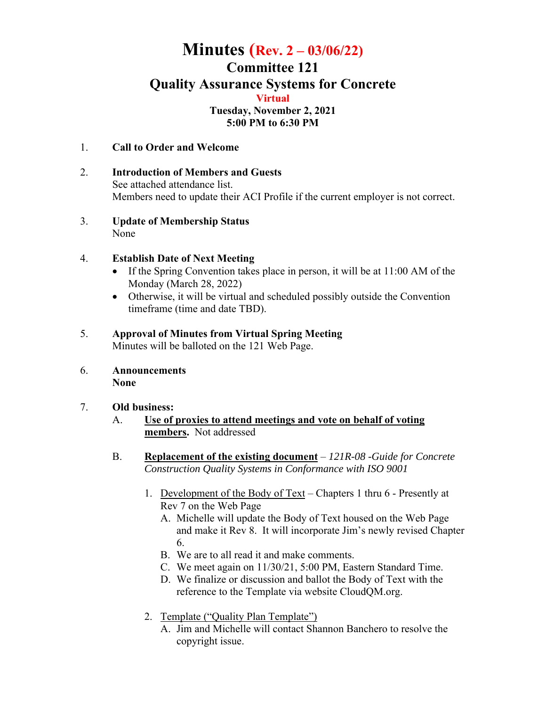## **Minutes (Rev. 2 – 03/06/22) Committee 121 Quality Assurance Systems for Concrete Virtual Tuesday, November 2, 2021 5:00 PM to 6:30 PM**

- 1. **Call to Order and Welcome**
- 2. **Introduction of Members and Guests** See attached attendance list. Members need to update their ACI Profile if the current employer is not correct.
- 3. **Update of Membership Status** None

#### 4. **Establish Date of Next Meeting**

- If the Spring Convention takes place in person, it will be at  $11:00$  AM of the Monday (March 28, 2022)
- Otherwise, it will be virtual and scheduled possibly outside the Convention timeframe (time and date TBD).

#### 5. **Approval of Minutes from Virtual Spring Meeting**

Minutes will be balloted on the 121 Web Page.

6. **Announcements None** 

#### 7. **Old business:**

- A. **Use of proxies to attend meetings and vote on behalf of voting members.** Not addressed
- B. **Replacement of the existing document**  *121R-08 -Guide for Concrete Construction Quality Systems in Conformance with ISO 9001*
	- 1. Development of the Body of Text Chapters 1 thru 6 Presently at Rev 7 on the Web Page
		- A. Michelle will update the Body of Text housed on the Web Page and make it Rev 8. It will incorporate Jim's newly revised Chapter 6.
		- B. We are to all read it and make comments.
		- C. We meet again on 11/30/21, 5:00 PM, Eastern Standard Time.
		- D. We finalize or discussion and ballot the Body of Text with the reference to the Template via website CloudQM.org.
	- 2. Template ("Quality Plan Template")
		- A. Jim and Michelle will contact Shannon Banchero to resolve the copyright issue.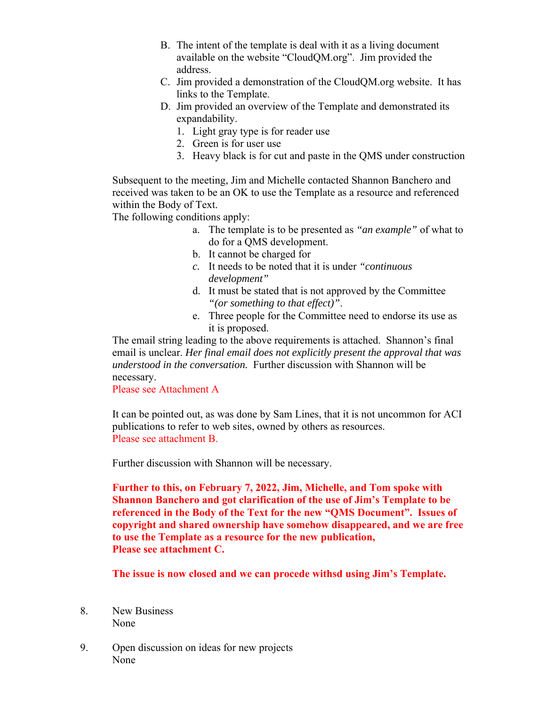- B. The intent of the template is deal with it as a living document available on the website "CloudQM.org". Jim provided the address.
- C. Jim provided a demonstration of the CloudQM.org website. It has links to the Template.
- D. Jim provided an overview of the Template and demonstrated its expandability.
	- 1. Light gray type is for reader use
	- 2. Green is for user use
	- 3. Heavy black is for cut and paste in the QMS under construction

Subsequent to the meeting, Jim and Michelle contacted Shannon Banchero and received was taken to be an OK to use the Template as a resource and referenced within the Body of Text.

The following conditions apply:

- a. The template is to be presented as *"an example"* of what to do for a QMS development.
- b. It cannot be charged for
- *c.* It needs to be noted that it is under *"continuous development"*
- d. It must be stated that is not approved by the Committee *"(or something to that effect)"*.
- e. Three people for the Committee need to endorse its use as it is proposed.

The email string leading to the above requirements is attached. Shannon's final email is unclear. *Her final email does not explicitly present the approval that was understood in the conversation.* Further discussion with Shannon will be necessary.

Please see Attachment A

It can be pointed out, as was done by Sam Lines, that it is not uncommon for ACI publications to refer to web sites, owned by others as resources. Please see attachment B.

Further discussion with Shannon will be necessary.

**Further to this, on February 7, 2022, Jim, Michelle, and Tom spoke with Shannon Banchero and got clarification of the use of Jim's Template to be referenced in the Body of the Text for the new "QMS Document". Issues of copyright and shared ownership have somehow disappeared, and we are free to use the Template as a resource for the new publication, Please see attachment C.** 

**The issue is now closed and we can procede withsd using Jim's Template.** 

- 8. New Business None
- 9. Open discussion on ideas for new projects None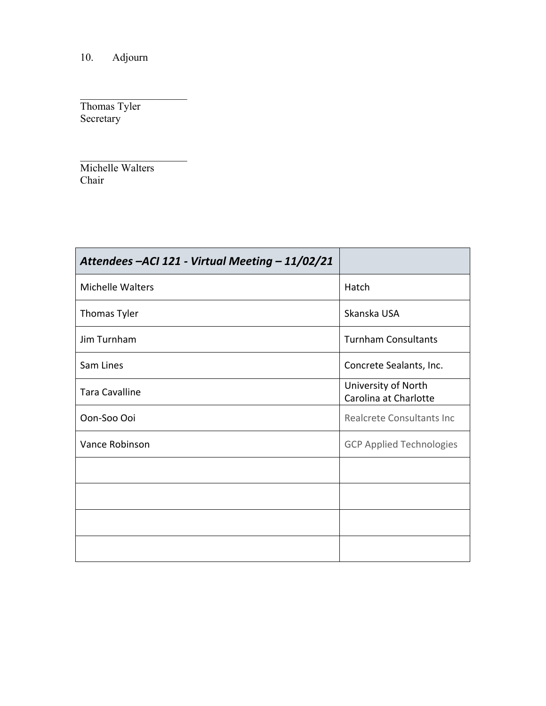10. Adjourn

Thomas Tyler Secretary

Michelle Walters Chair

| Attendees - ACI 121 - Virtual Meeting - 11/02/21 |                                              |
|--------------------------------------------------|----------------------------------------------|
| <b>Michelle Walters</b>                          | Hatch                                        |
| Thomas Tyler                                     | Skanska USA                                  |
| Jim Turnham                                      | <b>Turnham Consultants</b>                   |
| Sam Lines                                        | Concrete Sealants, Inc.                      |
| <b>Tara Cavalline</b>                            | University of North<br>Carolina at Charlotte |
| Oon-Soo Ooi                                      | Realcrete Consultants Inc                    |
| Vance Robinson                                   | <b>GCP Applied Technologies</b>              |
|                                                  |                                              |
|                                                  |                                              |
|                                                  |                                              |
|                                                  |                                              |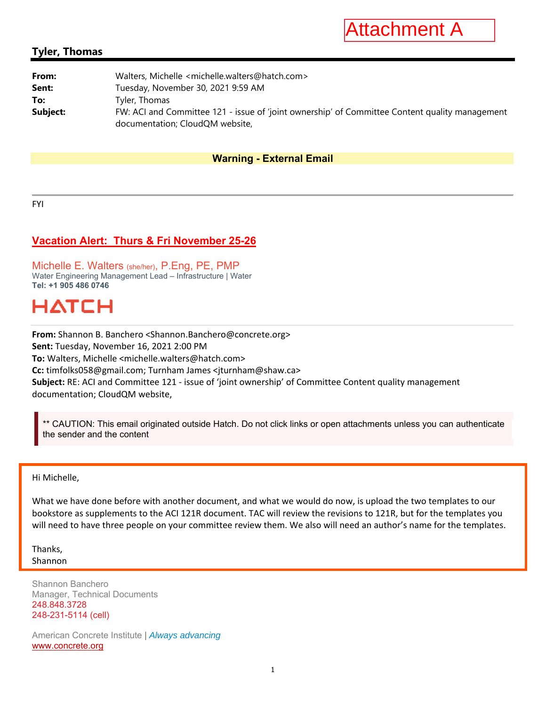

#### **Tyler, Thomas**

| From:    | Walters, Michelle <michelle.walters@hatch.com></michelle.walters@hatch.com>                                                       |
|----------|-----------------------------------------------------------------------------------------------------------------------------------|
| Sent:    | Tuesday, November 30, 2021 9:59 AM                                                                                                |
| To:      | Tyler, Thomas                                                                                                                     |
| Subject: | FW: ACI and Committee 121 - issue of 'joint ownership' of Committee Content quality management<br>documentation; CloudQM website, |

#### **Warning - External Email**

FYI

#### **Vacation Alert: Thurs & Fri November 25-26**

Michelle E. Walters (she/her), P.Eng, PE, PMP Water Engineering Management Lead – Infrastructure | Water **Tel: +1 905 486 0746** 

# HATCH

**From:** Shannon B. Banchero <Shannon.Banchero@concrete.org> **Sent:** Tuesday, November 16, 2021 2:00 PM **To:** Walters, Michelle <michelle.walters@hatch.com> **Cc:** timfolks058@gmail.com; Turnham James <jturnham@shaw.ca> **Subject:** RE: ACI and Committee 121 ‐ issue of 'joint ownership' of Committee Content quality management documentation; CloudQM website,

CAUTION: This email originated outside Hatch. Do not click links or open attachments unless you can authenticate the sender and the content

#### Hi Michelle,

j.

What we have done before with another document, and what we would do now, is upload the two templates to our bookstore as supplements to the ACI 121R document. TAC will review the revisions to 121R, but for the templates you will need to have three people on your committee review them. We also will need an author's name for the templates.

Thanks, Shannon

Shannon Banchero Manager, Technical Documents 248.848.3728 248-231-5114 (cell)

American Concrete Institute | *Always advancing*  www.concrete.org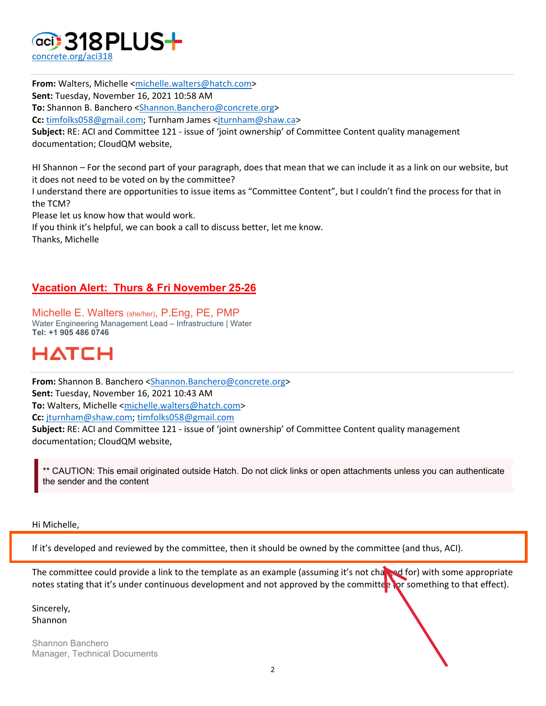

**From:** Walters, Michelle <michelle.walters@hatch.com> **Sent:** Tuesday, November 16, 2021 10:58 AM **To:** Shannon B. Banchero <Shannon.Banchero@concrete.org> **Cc:** timfolks058@gmail.com; Turnham James <jturnham@shaw.ca> **Subject:** RE: ACI and Committee 121 ‐ issue of 'joint ownership' of Committee Content quality management documentation; CloudQM website,

HI Shannon – For the second part of your paragraph, does that mean that we can include it as a link on our website, but it does not need to be voted on by the committee?

I understand there are opportunities to issue items as "Committee Content", but I couldn't find the process for that in the TCM?

Please let us know how that would work.

If you think it's helpful, we can book a call to discuss better, let me know.

Thanks, Michelle

#### **Vacation Alert: Thurs & Fri November 25-26**

Michelle E. Walters (she/her), P.Eng, PE, PMP Water Engineering Management Lead – Infrastructure | Water **Tel: +1 905 486 0746** 

# HATCH

**From:** Shannon B. Banchero <Shannon.Banchero@concrete.org> **Sent:** Tuesday, November 16, 2021 10:43 AM **To:** Walters, Michelle <michelle.walters@hatch.com> **Cc:** jturnham@shaw.com; timfolks058@gmail.com **Subject:** RE: ACI and Committee 121 ‐ issue of 'joint ownership' of Committee Content quality management

documentation; CloudQM website,

CAUTION: This email originated outside Hatch. Do not click links or open attachments unless you can authenticate the sender and the content

#### Hi Michelle,

If it's developed and reviewed by the committee, then it should be owned by the committee (and thus, ACI).

The committee could provide a link to the template as an example (assuming it's not charged for) with some appropriate notes stating that it's under continuous development and not approved by the committee (or something to that effect).

Sincerely, Shannon

Shannon Banchero Manager, Technical Documents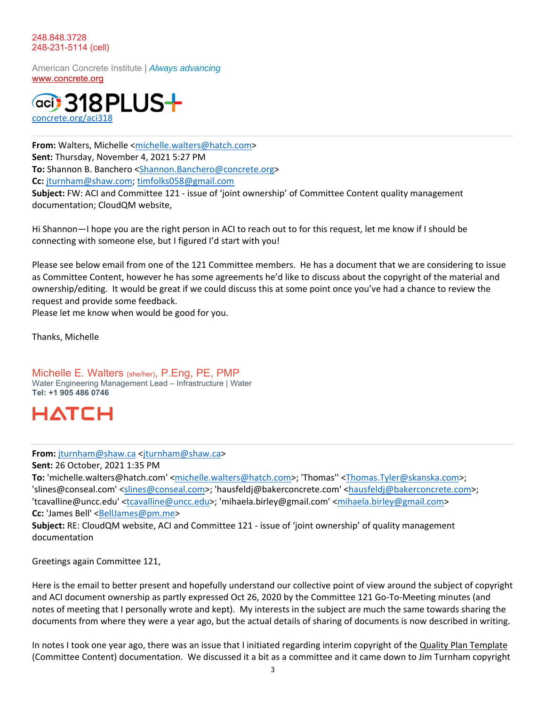#### 248.848.3728 248-231-5114 (cell)

American Concrete Institute | *Always advancing*  www.concrete.org



**From:** Walters, Michelle <michelle.walters@hatch.com> **Sent:** Thursday, November 4, 2021 5:27 PM **To:** Shannon B. Banchero <Shannon.Banchero@concrete.org> **Cc:** jturnham@shaw.com; timfolks058@gmail.com **Subject:** FW: ACI and Committee 121 ‐ issue of 'joint ownership' of Committee Content quality management documentation; CloudQM website,

Hi Shannon—I hope you are the right person in ACI to reach out to for this request, let me know if I should be connecting with someone else, but I figured I'd start with you!

Please see below email from one of the 121 Committee members. He has a document that we are considering to issue as Committee Content, however he has some agreements he'd like to discuss about the copyright of the material and ownership/editing. It would be great if we could discuss this at some point once you've had a chance to review the request and provide some feedback.

Please let me know when would be good for you.

Thanks, Michelle

Michelle E. Walters (she/her), P.Eng, PE, PMP Water Engineering Management Lead – Infrastructure | Water **Tel: +1 905 486 0746** 



#### **From:** jturnham@shaw.ca <jturnham@shaw.ca>

**Sent:** 26 October, 2021 1:35 PM

**To:** 'michelle.walters@hatch.com' <michelle.walters@hatch.com>; 'Thomas'' <Thomas.Tyler@skanska.com>; 'slines@conseal.com' <slines@conseal.com>; 'hausfeldj@bakerconcrete.com' <hausfeldj@bakerconcrete.com>; 'tcavalline@uncc.edu' <tcavalline@uncc.edu>; 'mihaela.birley@gmail.com' <mihaela.birley@gmail.com> **Cc:** 'James Bell' <BellJames@pm.me>

**Subject:** RE: CloudQM website, ACI and Committee 121 ‐ issue of 'joint ownership' of quality management documentation

Greetings again Committee 121,

Here is the email to better present and hopefully understand our collective point of view around the subject of copyright and ACI document ownership as partly expressed Oct 26, 2020 by the Committee 121 Go-To-Meeting minutes (and notes of meeting that I personally wrote and kept). My interests in the subject are much the same towards sharing the documents from where they were a year ago, but the actual details of sharing of documents is now described in writing.

In notes I took one year ago, there was an issue that I initiated regarding interim copyright of the Quality Plan Template (Committee Content) documentation. We discussed it a bit as a committee and it came down to Jim Turnham copyright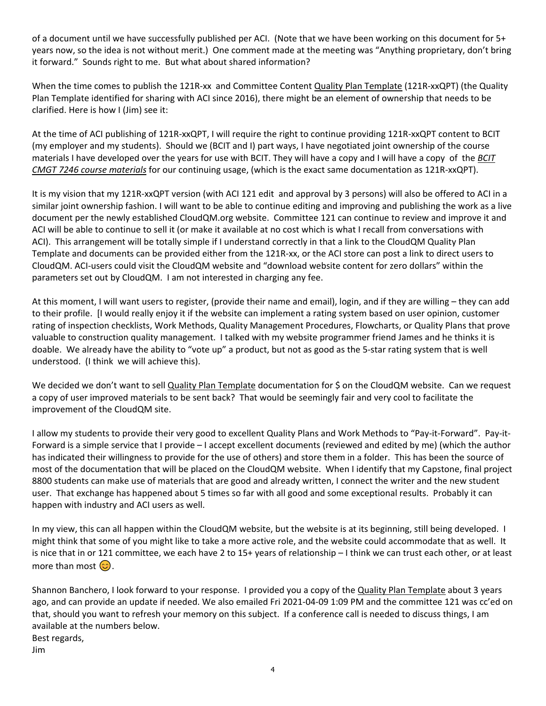of a document until we have successfully published per ACI. (Note that we have been working on this document for 5+ years now, so the idea is not without merit.) One comment made at the meeting was "Anything proprietary, don't bring it forward." Sounds right to me. But what about shared information?

When the time comes to publish the 121R-xx and Committee Content Quality Plan Template (121R-xxQPT) (the Quality Plan Template identified for sharing with ACI since 2016), there might be an element of ownership that needs to be clarified. Here is how I (Jim) see it:

At the time of ACI publishing of 121R‐xxQPT, I will require the right to continue providing 121R‐xxQPT content to BCIT (my employer and my students). Should we (BCIT and I) part ways, I have negotiated joint ownership of the course materials I have developed over the years for use with BCIT. They will have a copy and I will have a copy of the *BCIT CMGT 7246 course materials* for our continuing usage, (which is the exact same documentation as 121R‐xxQPT).

It is my vision that my 121R-xxQPT version (with ACI 121 edit and approval by 3 persons) will also be offered to ACI in a similar joint ownership fashion. I will want to be able to continue editing and improving and publishing the work as a live document per the newly established CloudQM.org website. Committee 121 can continue to review and improve it and ACI will be able to continue to sell it (or make it available at no cost which is what I recall from conversations with ACI). This arrangement will be totally simple if I understand correctly in that a link to the CloudQM Quality Plan Template and documents can be provided either from the 121R‐xx, or the ACI store can post a link to direct users to CloudQM. ACI‐users could visit the CloudQM website and "download website content for zero dollars" within the parameters set out by CloudQM. I am not interested in charging any fee.

At this moment, I will want users to register, (provide their name and email), login, and if they are willing – they can add to their profile. [I would really enjoy it if the website can implement a rating system based on user opinion, customer rating of inspection checklists, Work Methods, Quality Management Procedures, Flowcharts, or Quality Plans that prove valuable to construction quality management. I talked with my website programmer friend James and he thinks it is doable. We already have the ability to "vote up" a product, but not as good as the 5‐star rating system that is well understood. (I think we will achieve this).

We decided we don't want to sell Quality Plan Template documentation for \$ on the CloudQM website. Can we request a copy of user improved materials to be sent back? That would be seemingly fair and very cool to facilitate the improvement of the CloudQM site.

I allow my students to provide their very good to excellent Quality Plans and Work Methods to "Pay‐it‐Forward". Pay‐it‐ Forward is a simple service that I provide – I accept excellent documents (reviewed and edited by me) (which the author has indicated their willingness to provide for the use of others) and store them in a folder. This has been the source of most of the documentation that will be placed on the CloudQM website. When I identify that my Capstone, final project 8800 students can make use of materials that are good and already written, I connect the writer and the new student user. That exchange has happened about 5 times so far with all good and some exceptional results. Probably it can happen with industry and ACI users as well.

In my view, this can all happen within the CloudQM website, but the website is at its beginning, still being developed. I might think that some of you might like to take a more active role, and the website could accommodate that as well. It is nice that in or 121 committee, we each have 2 to 15+ years of relationship – I think we can trust each other, or at least more than most  $\circled{c}$ .

Shannon Banchero, I look forward to your response. I provided you a copy of the Quality Plan Template about 3 years ago, and can provide an update if needed. We also emailed Fri 2021‐04‐09 1:09 PM and the committee 121 was cc'ed on that, should you want to refresh your memory on this subject. If a conference call is needed to discuss things, I am available at the numbers below. Best regards,

Jim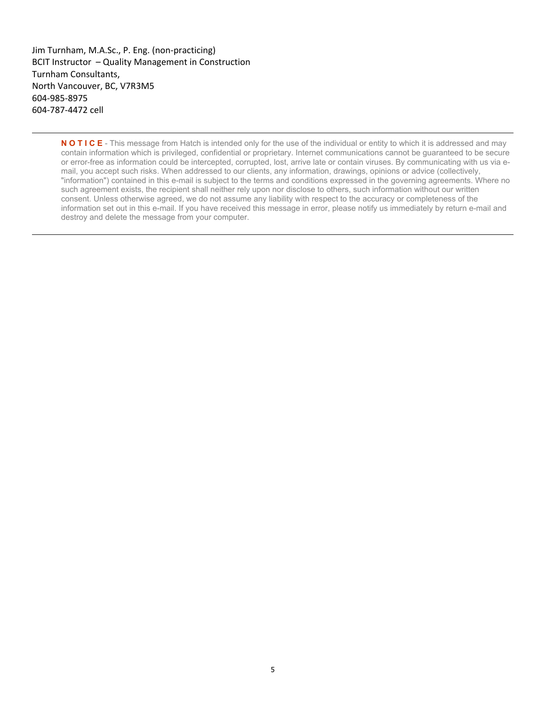Jim Turnham, M.A.Sc., P. Eng. (non‐practicing) BCIT Instructor – Quality Management in Construction Turnham Consultants, North Vancouver, BC, V7R3M5 604‐985‐8975 604‐787‐4472 cell

> **N O T I C E** - This message from Hatch is intended only for the use of the individual or entity to which it is addressed and may contain information which is privileged, confidential or proprietary. Internet communications cannot be guaranteed to be secure or error-free as information could be intercepted, corrupted, lost, arrive late or contain viruses. By communicating with us via email, you accept such risks. When addressed to our clients, any information, drawings, opinions or advice (collectively, "information") contained in this e-mail is subject to the terms and conditions expressed in the governing agreements. Where no such agreement exists, the recipient shall neither rely upon nor disclose to others, such information without our written consent. Unless otherwise agreed, we do not assume any liability with respect to the accuracy or completeness of the information set out in this e-mail. If you have received this message in error, please notify us immediately by return e-mail and destroy and delete the message from your computer.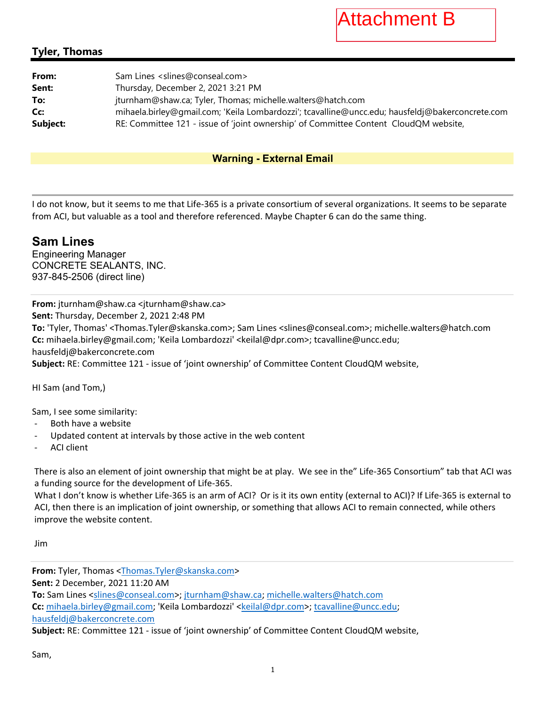Attachment B

### **Tyler, Thomas**

| From:    | Sam Lines <slines@conseal.com></slines@conseal.com>                                             |
|----------|-------------------------------------------------------------------------------------------------|
| Sent:    | Thursday, December 2, 2021 3:21 PM                                                              |
| To:      | jturnham@shaw.ca; Tyler, Thomas; michelle.walters@hatch.com                                     |
| Cc:      | mihaela.birley@qmail.com; 'Keila Lombardozzi'; tcavalline@uncc.edu; hausfeldj@bakerconcrete.com |
| Subject: | RE: Committee 121 - issue of 'joint ownership' of Committee Content CloudQM website,            |

#### **Warning - External Email**

I do not know, but it seems to me that Life‐365 is a private consortium of several organizations. It seems to be separate from ACI, but valuable as a tool and therefore referenced. Maybe Chapter 6 can do the same thing.

### **Sam Lines**

Engineering Manager CONCRETE SEALANTS, INC. 937-845-2506 (direct line)

**From:** jturnham@shaw.ca <jturnham@shaw.ca> **Sent:** Thursday, December 2, 2021 2:48 PM **To:** 'Tyler, Thomas' <Thomas.Tyler@skanska.com>; Sam Lines <slines@conseal.com>; michelle.walters@hatch.com **Cc:** mihaela.birley@gmail.com; 'Keila Lombardozzi' <keilal@dpr.com>; tcavalline@uncc.edu; hausfeldj@bakerconcrete.com **Subject:** RE: Committee 121 ‐ issue of 'joint ownership' of Committee Content CloudQM website,

HI Sam (and Tom,)

Sam, I see some similarity:

- ‐ Both have a website
- ‐ Updated content at intervals by those active in the web content
- ‐ ACI client

There is also an element of joint ownership that might be at play. We see in the" Life‐365 Consortium" tab that ACI was a funding source for the development of Life‐365.

What I don't know is whether Life-365 is an arm of ACI? Or is it its own entity (external to ACI)? If Life-365 is external to ACI, then there is an implication of joint ownership, or something that allows ACI to remain connected, while others improve the website content.

Jim

**From:** Tyler, Thomas <Thomas.Tyler@skanska.com> **Sent:** 2 December, 2021 11:20 AM **To:** Sam Lines <slines@conseal.com>; jturnham@shaw.ca; michelle.walters@hatch.com **Cc:** mihaela.birley@gmail.com; 'Keila Lombardozzi' <keilal@dpr.com>; tcavalline@uncc.edu; hausfeldj@bakerconcrete.com **Subject:** RE: Committee 121 ‐ issue of 'joint ownership' of Committee Content CloudQM website,

Sam,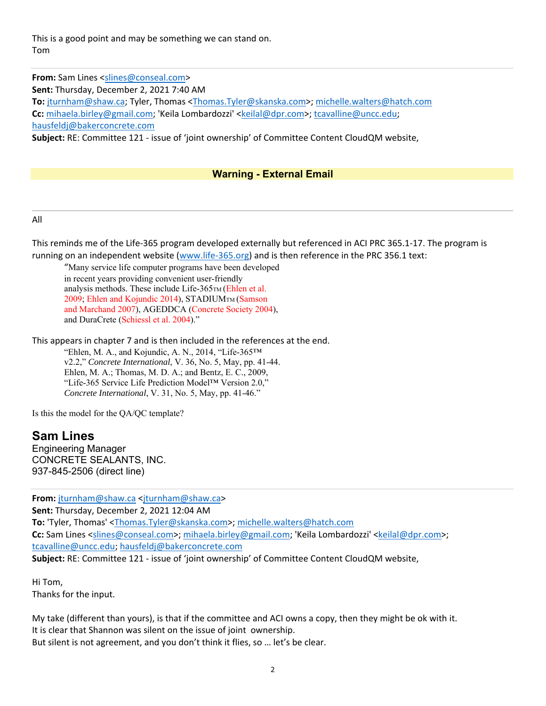This is a good point and may be something we can stand on. Tom

**From:** Sam Lines <slines@conseal.com> **Sent:** Thursday, December 2, 2021 7:40 AM **To:** jturnham@shaw.ca; Tyler, Thomas <Thomas.Tyler@skanska.com>; michelle.walters@hatch.com **Cc:** mihaela.birley@gmail.com; 'Keila Lombardozzi' <keilal@dpr.com>; tcavalline@uncc.edu; hausfeldj@bakerconcrete.com **Subject:** RE: Committee 121 ‐ issue of 'joint ownership' of Committee Content CloudQM website,

#### **Warning - External Email**

#### All

This reminds me of the Life‐365 program developed externally but referenced in ACI PRC 365.1‐17. The program is running on an independent website (www.life‐365.org) and is then reference in the PRC 356.1 text:

"Many service life computer programs have been developed in recent years providing convenient user-friendly analysis methods. These include Life-365TM (Ehlen et al. 2009; Ehlen and Kojundic 2014), STADIUMTM (Samson and Marchand 2007), AGEDDCA (Concrete Society 2004), and DuraCrete (Schiessl et al. 2004)."

This appears in chapter 7 and is then included in the references at the end. "Ehlen, M. A., and Kojundic, A. N., 2014, "Life-365™ v2.2," *Concrete International*, V. 36, No. 5, May, pp. 41-44. Ehlen, M. A.; Thomas, M. D. A.; and Bentz, E. C., 2009, "Life-365 Service Life Prediction Model™ Version 2.0," *Concrete International*, V. 31, No. 5, May, pp. 41-46."

Is this the model for the QA/QC template?

#### **Sam Lines**

Engineering Manager CONCRETE SEALANTS, INC. 937-845-2506 (direct line)

**From:** jturnham@shaw.ca <jturnham@shaw.ca> **Sent:** Thursday, December 2, 2021 12:04 AM **To:** 'Tyler, Thomas' <Thomas.Tyler@skanska.com>; michelle.walters@hatch.com Cc: Sam Lines <slines@conseal.com>; mihaela.birley@gmail.com; 'Keila Lombardozzi' <keilal@dpr.com>; tcavalline@uncc.edu; hausfeldj@bakerconcrete.com **Subject:** RE: Committee 121 ‐ issue of 'joint ownership' of Committee Content CloudQM website,

Hi Tom, Thanks for the input.

My take (different than yours), is that if the committee and ACI owns a copy, then they might be ok with it. It is clear that Shannon was silent on the issue of joint ownership. But silent is not agreement, and you don't think it flies, so … let's be clear.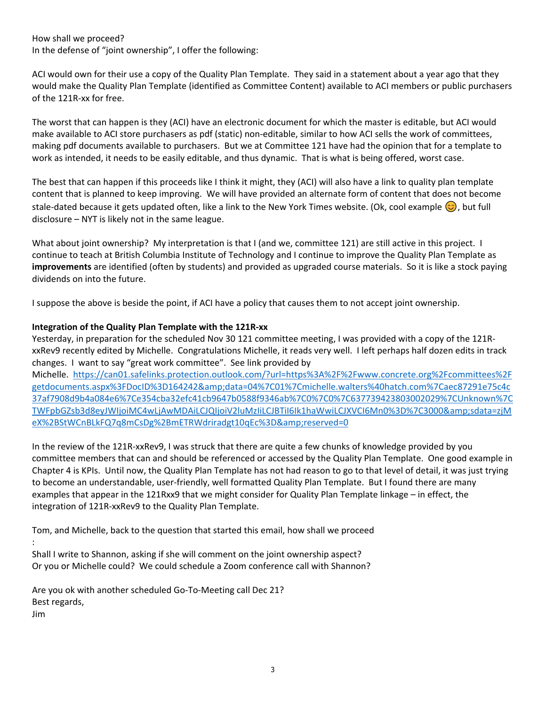How shall we proceed? In the defense of "joint ownership", I offer the following:

ACI would own for their use a copy of the Quality Plan Template. They said in a statement about a year ago that they would make the Quality Plan Template (identified as Committee Content) available to ACI members or public purchasers of the 121R‐xx for free.

The worst that can happen is they (ACI) have an electronic document for which the master is editable, but ACI would make available to ACI store purchasers as pdf (static) non‐editable, similar to how ACI sells the work of committees, making pdf documents available to purchasers. But we at Committee 121 have had the opinion that for a template to work as intended, it needs to be easily editable, and thus dynamic. That is what is being offered, worst case.

The best that can happen if this proceeds like I think it might, they (ACI) will also have a link to quality plan template content that is planned to keep improving. We will have provided an alternate form of content that does not become stale-dated because it gets updated often, like a link to the New York Times website. (Ok, cool example  $\odot$ ), but full disclosure – NYT is likely not in the same league.

What about joint ownership? My interpretation is that I (and we, committee 121) are still active in this project. I continue to teach at British Columbia Institute of Technology and I continue to improve the Quality Plan Template as **improvements** are identified (often by students) and provided as upgraded course materials. So it is like a stock paying dividends on into the future.

I suppose the above is beside the point, if ACI have a policy that causes them to not accept joint ownership.

#### **Integration of the Quality Plan Template with the 121R‐xx**

Yesterday, in preparation for the scheduled Nov 30 121 committee meeting, I was provided with a copy of the 121R‐ xxRev9 recently edited by Michelle. Congratulations Michelle, it reads very well. I left perhaps half dozen edits in track changes. I want to say "great work committee". See link provided by

Michelle. https://can01.safelinks.protection.outlook.com/?url=https%3A%2F%2Fwww.concrete.org%2Fcommittees%2F getdocuments.aspx%3FDocID%3D164242&data=04%7C01%7Cmichelle.walters%40hatch.com%7Caec87291e75c4c 37af7908d9b4a084e6%7Ce354cba32efc41cb9647b0588f9346ab%7C0%7C0%7C637739423803002029%7CUnknown%7C TWFpbGZsb3d8eyJWIjoiMC4wLjAwMDAiLCJQIjoiV2luMzIiLCJBTiI6Ik1haWwiLCJXVCI6Mn0%3D%7C3000&sdata=zjM eX%2BStWCnBLkFQ7q8mCsDg%2BmETRWdriradgt10qEc%3D&amp:reserved=0

In the review of the 121R-xxRev9, I was struck that there are quite a few chunks of knowledge provided by you committee members that can and should be referenced or accessed by the Quality Plan Template. One good example in Chapter 4 is KPIs. Until now, the Quality Plan Template has not had reason to go to that level of detail, it was just trying to become an understandable, user‐friendly, well formatted Quality Plan Template. But I found there are many examples that appear in the 121Rxx9 that we might consider for Quality Plan Template linkage – in effect, the integration of 121R‐xxRev9 to the Quality Plan Template.

Tom, and Michelle, back to the question that started this email, how shall we proceed :

Shall I write to Shannon, asking if she will comment on the joint ownership aspect? Or you or Michelle could? We could schedule a Zoom conference call with Shannon?

Are you ok with another scheduled Go-To-Meeting call Dec 21? Best regards, Jim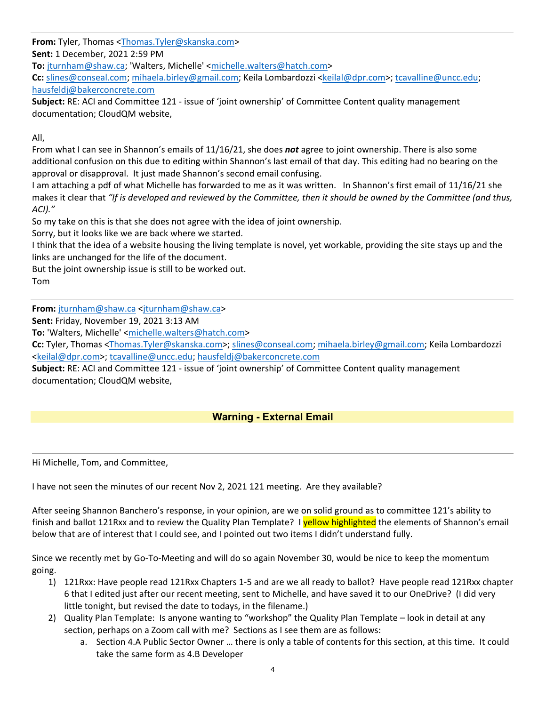**From:** Tyler, Thomas <Thomas.Tyler@skanska.com> **Sent:** 1 December, 2021 2:59 PM **To:** jturnham@shaw.ca; 'Walters, Michelle' <michelle.walters@hatch.com>

**Cc:** slines@conseal.com; mihaela.birley@gmail.com; Keila Lombardozzi <keilal@dpr.com>; tcavalline@uncc.edu; hausfeldj@bakerconcrete.com

**Subject:** RE: ACI and Committee 121 ‐ issue of 'joint ownership' of Committee Content quality management documentation; CloudQM website,

All,

From what I can see in Shannon's emails of 11/16/21, she does *not* agree to joint ownership. There is also some additional confusion on this due to editing within Shannon's last email of that day. This editing had no bearing on the approval or disapproval. It just made Shannon's second email confusing.

I am attaching a pdf of what Michelle has forwarded to me as it was written. In Shannon's first email of 11/16/21 she makes it clear that *"If is developed and reviewed by the Committee, then it should be owned by the Committee (and thus, ACI)."* 

So my take on this is that she does not agree with the idea of joint ownership.

Sorry, but it looks like we are back where we started.

I think that the idea of a website housing the living template is novel, yet workable, providing the site stays up and the links are unchanged for the life of the document.

But the joint ownership issue is still to be worked out. Tom

**From:** jturnham@shaw.ca <jturnham@shaw.ca>

**Sent:** Friday, November 19, 2021 3:13 AM

**To:** 'Walters, Michelle' <michelle.walters@hatch.com>

**Cc:** Tyler, Thomas <Thomas.Tyler@skanska.com>; slines@conseal.com; mihaela.birley@gmail.com; Keila Lombardozzi <keilal@dpr.com>; tcavalline@uncc.edu; hausfeldj@bakerconcrete.com

**Subject:** RE: ACI and Committee 121 ‐ issue of 'joint ownership' of Committee Content quality management documentation; CloudQM website,

## **Warning - External Email**

Hi Michelle, Tom, and Committee,

I have not seen the minutes of our recent Nov 2, 2021 121 meeting. Are they available?

After seeing Shannon Banchero's response, in your opinion, are we on solid ground as to committee 121's ability to finish and ballot 121Rxx and to review the Quality Plan Template? I vellow highlighted the elements of Shannon's email below that are of interest that I could see, and I pointed out two items I didn't understand fully.

Since we recently met by Go-To-Meeting and will do so again November 30, would be nice to keep the momentum going.

- 1) 121Rxx: Have people read 121Rxx Chapters 1‐5 and are we all ready to ballot? Have people read 121Rxx chapter 6 that I edited just after our recent meeting, sent to Michelle, and have saved it to our OneDrive? (I did very little tonight, but revised the date to todays, in the filename.)
- 2) Quality Plan Template: Is anyone wanting to "workshop" the Quality Plan Template look in detail at any section, perhaps on a Zoom call with me? Sections as I see them are as follows:
	- a. Section 4.A Public Sector Owner … there is only a table of contents for this section, at this time. It could take the same form as 4.B Developer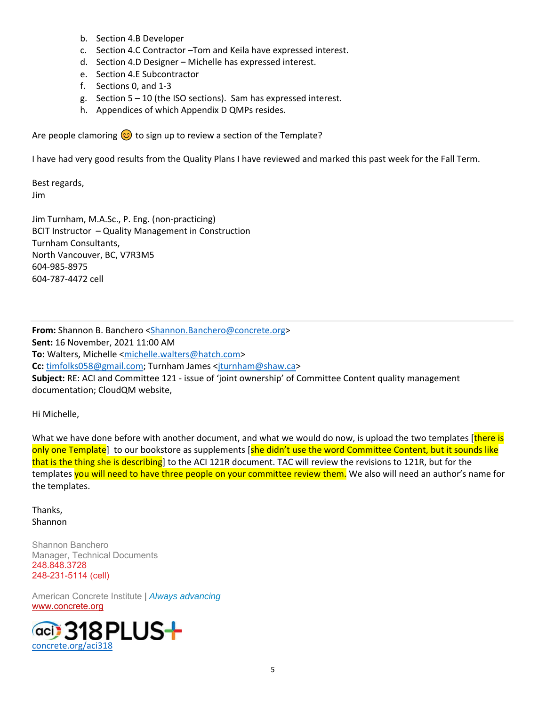- b. Section 4.B Developer
- c. Section 4.C Contractor –Tom and Keila have expressed interest.
- d. Section 4.D Designer Michelle has expressed interest.
- e. Section 4.E Subcontractor
- f. Sections 0, and 1‐3
- g. Section 5 10 (the ISO sections). Sam has expressed interest.
- h. Appendices of which Appendix D QMPs resides.

Are people clamoring  $\odot$  to sign up to review a section of the Template?

I have had very good results from the Quality Plans I have reviewed and marked this past week for the Fall Term.

Best regards, Jim

Jim Turnham, M.A.Sc., P. Eng. (non‐practicing) BCIT Instructor – Quality Management in Construction Turnham Consultants, North Vancouver, BC, V7R3M5 604‐985‐8975 604‐787‐4472 cell

**From:** Shannon B. Banchero <Shannon.Banchero@concrete.org> **Sent:** 16 November, 2021 11:00 AM **To:** Walters, Michelle <michelle.walters@hatch.com> **Cc:** timfolks058@gmail.com; Turnham James <jturnham@shaw.ca> **Subject:** RE: ACI and Committee 121 ‐ issue of 'joint ownership' of Committee Content quality management documentation; CloudQM website,

Hi Michelle,

What we have done before with another document, and what we would do now, is upload the two templates [there is only one Template] to our bookstore as supplements [she didn't use the word Committee Content, but it sounds like that is the thing she is describing] to the ACI 121R document. TAC will review the revisions to 121R, but for the templates you will need to have three people on your committee review them. We also will need an author's name for the templates.

Thanks, Shannon

Shannon Banchero Manager, Technical Documents 248.848.3728 248-231-5114 (cell)

American Concrete Institute | *Always advancing*  www.concrete.org

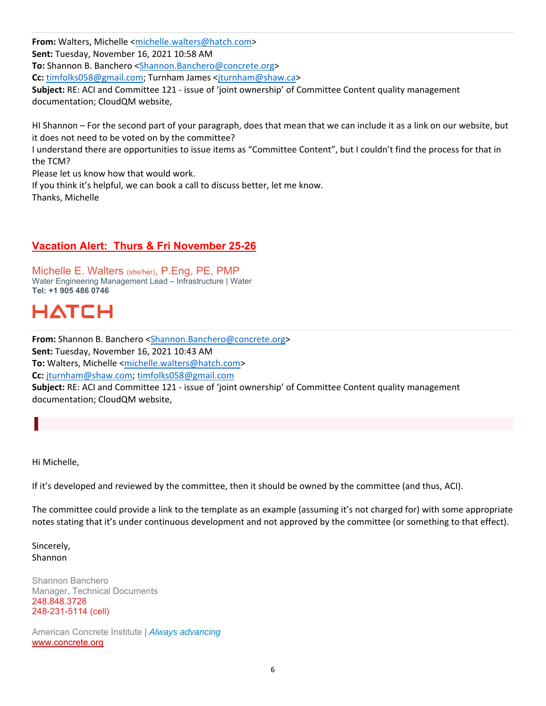**From:** Walters, Michelle <michelle.walters@hatch.com> **Sent:** Tuesday, November 16, 2021 10:58 AM **To:** Shannon B. Banchero <Shannon.Banchero@concrete.org> **Cc:** timfolks058@gmail.com; Turnham James <jturnham@shaw.ca> **Subject:** RE: ACI and Committee 121 ‐ issue of 'joint ownership' of Committee Content quality management documentation; CloudQM website,

HI Shannon – For the second part of your paragraph, does that mean that we can include it as a link on our website, but it does not need to be voted on by the committee?

I understand there are opportunities to issue items as "Committee Content", but I couldn't find the process for that in the TCM?

Please let us know how that would work.

If you think it's helpful, we can book a call to discuss better, let me know. Thanks, Michelle

## **Vacation Alert: Thurs & Fri November 25-26**

Michelle E. Walters (she/her), P.Eng, PE, PMP Water Engineering Management Lead – Infrastructure | Water **Tel: +1 905 486 0746** 

## **HATCH**

**From:** Shannon B. Banchero <Shannon.Banchero@concrete.org> **Sent:** Tuesday, November 16, 2021 10:43 AM **To:** Walters, Michelle <michelle.walters@hatch.com> **Cc:** jturnham@shaw.com; timfolks058@gmail.com **Subject:** RE: ACI and Committee 121 ‐ issue of 'joint ownership' of Committee Content quality management documentation; CloudQM website,

Hi Michelle,

If it's developed and reviewed by the committee, then it should be owned by the committee (and thus, ACI).

The committee could provide a link to the template as an example (assuming it's not charged for) with some appropriate notes stating that it's under continuous development and not approved by the committee (or something to that effect).

Sincerely, Shannon

Shannon Banchero Manager, Technical Documents 248.848.3728 248-231-5114 (cell)

American Concrete Institute | *Always advancing*  www.concrete.org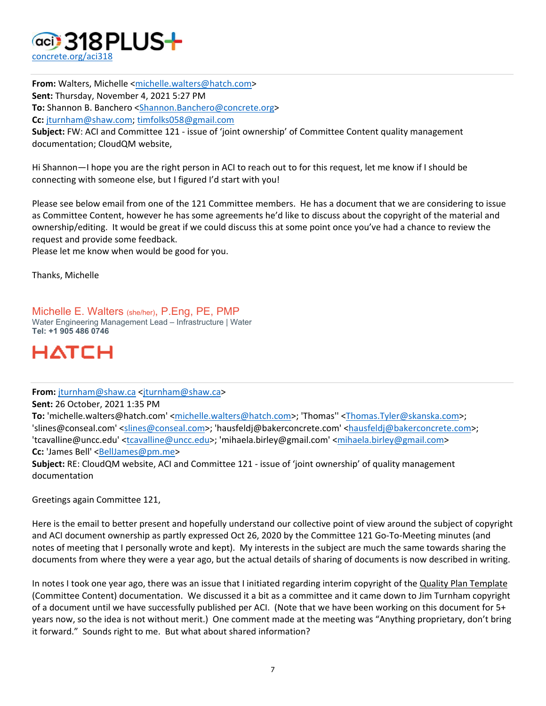

From: Walters, Michelle <michelle.walters@hatch.com> **Sent:** Thursday, November 4, 2021 5:27 PM **To:** Shannon B. Banchero <Shannon.Banchero@concrete.org> **Cc:** jturnham@shaw.com; timfolks058@gmail.com

**Subject:** FW: ACI and Committee 121 ‐ issue of 'joint ownership' of Committee Content quality management documentation; CloudQM website,

Hi Shannon—I hope you are the right person in ACI to reach out to for this request, let me know if I should be connecting with someone else, but I figured I'd start with you!

Please see below email from one of the 121 Committee members. He has a document that we are considering to issue as Committee Content, however he has some agreements he'd like to discuss about the copyright of the material and ownership/editing. It would be great if we could discuss this at some point once you've had a chance to review the request and provide some feedback.

Please let me know when would be good for you.

Thanks, Michelle

Michelle E. Walters (she/her), P.Eng, PE, PMP Water Engineering Management Lead – Infrastructure | Water **Tel: +1 905 486 0746** 



**From:** jturnham@shaw.ca <jturnham@shaw.ca>

**Sent:** 26 October, 2021 1:35 PM

**To:** 'michelle.walters@hatch.com' <michelle.walters@hatch.com>; 'Thomas'' <Thomas.Tyler@skanska.com>; 'slines@conseal.com' <slines@conseal.com>; 'hausfeldj@bakerconcrete.com' <hausfeldj@bakerconcrete.com>; 'tcavalline@uncc.edu' <tcavalline@uncc.edu>; 'mihaela.birley@gmail.com' <mihaela.birley@gmail.com> **Cc:** 'James Bell' <BellJames@pm.me>

**Subject:** RE: CloudQM website, ACI and Committee 121 ‐ issue of 'joint ownership' of quality management documentation

Greetings again Committee 121,

Here is the email to better present and hopefully understand our collective point of view around the subject of copyright and ACI document ownership as partly expressed Oct 26, 2020 by the Committee 121 Go-To-Meeting minutes (and notes of meeting that I personally wrote and kept). My interests in the subject are much the same towards sharing the documents from where they were a year ago, but the actual details of sharing of documents is now described in writing.

In notes I took one year ago, there was an issue that I initiated regarding interim copyright of the Quality Plan Template (Committee Content) documentation. We discussed it a bit as a committee and it came down to Jim Turnham copyright of a document until we have successfully published per ACI. (Note that we have been working on this document for 5+ years now, so the idea is not without merit.) One comment made at the meeting was "Anything proprietary, don't bring it forward." Sounds right to me. But what about shared information?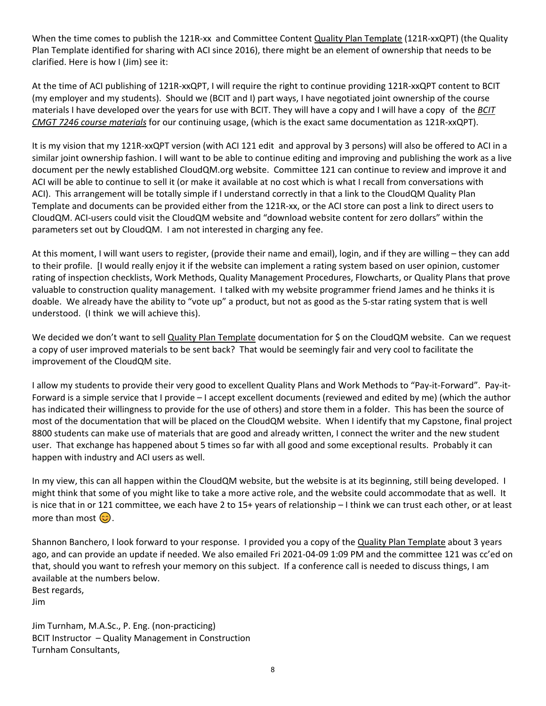When the time comes to publish the 121R-xx and Committee Content Quality Plan Template (121R-xxQPT) (the Quality Plan Template identified for sharing with ACI since 2016), there might be an element of ownership that needs to be clarified. Here is how I (Jim) see it:

At the time of ACI publishing of 121R‐xxQPT, I will require the right to continue providing 121R‐xxQPT content to BCIT (my employer and my students). Should we (BCIT and I) part ways, I have negotiated joint ownership of the course materials I have developed over the years for use with BCIT. They will have a copy and I will have a copy of the *BCIT CMGT 7246 course materials* for our continuing usage, (which is the exact same documentation as 121R‐xxQPT).

It is my vision that my 121R-xxQPT version (with ACI 121 edit and approval by 3 persons) will also be offered to ACI in a similar joint ownership fashion. I will want to be able to continue editing and improving and publishing the work as a live document per the newly established CloudQM.org website. Committee 121 can continue to review and improve it and ACI will be able to continue to sell it (or make it available at no cost which is what I recall from conversations with ACI). This arrangement will be totally simple if I understand correctly in that a link to the CloudQM Quality Plan Template and documents can be provided either from the 121R‐xx, or the ACI store can post a link to direct users to CloudQM. ACI‐users could visit the CloudQM website and "download website content for zero dollars" within the parameters set out by CloudQM. I am not interested in charging any fee.

At this moment, I will want users to register, (provide their name and email), login, and if they are willing – they can add to their profile. [I would really enjoy it if the website can implement a rating system based on user opinion, customer rating of inspection checklists, Work Methods, Quality Management Procedures, Flowcharts, or Quality Plans that prove valuable to construction quality management. I talked with my website programmer friend James and he thinks it is doable. We already have the ability to "vote up" a product, but not as good as the 5‐star rating system that is well understood. (I think we will achieve this).

We decided we don't want to sell Quality Plan Template documentation for \$ on the CloudQM website. Can we request a copy of user improved materials to be sent back? That would be seemingly fair and very cool to facilitate the improvement of the CloudQM site.

I allow my students to provide their very good to excellent Quality Plans and Work Methods to "Pay‐it‐Forward". Pay‐it‐ Forward is a simple service that I provide – I accept excellent documents (reviewed and edited by me) (which the author has indicated their willingness to provide for the use of others) and store them in a folder. This has been the source of most of the documentation that will be placed on the CloudQM website. When I identify that my Capstone, final project 8800 students can make use of materials that are good and already written, I connect the writer and the new student user. That exchange has happened about 5 times so far with all good and some exceptional results. Probably it can happen with industry and ACI users as well.

In my view, this can all happen within the CloudQM website, but the website is at its beginning, still being developed. I might think that some of you might like to take a more active role, and the website could accommodate that as well. It is nice that in or 121 committee, we each have 2 to 15+ years of relationship – I think we can trust each other, or at least more than most  $\odot$ .

Shannon Banchero, I look forward to your response. I provided you a copy of the Quality Plan Template about 3 years ago, and can provide an update if needed. We also emailed Fri 2021‐04‐09 1:09 PM and the committee 121 was cc'ed on that, should you want to refresh your memory on this subject. If a conference call is needed to discuss things, I am available at the numbers below. Best regards,

Jim

Jim Turnham, M.A.Sc., P. Eng. (non‐practicing) BCIT Instructor – Quality Management in Construction Turnham Consultants,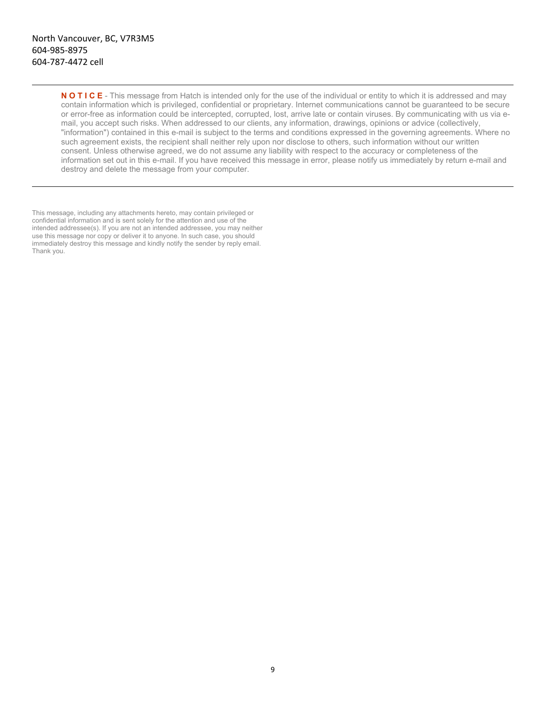**N O T I C E** - This message from Hatch is intended only for the use of the individual or entity to which it is addressed and may contain information which is privileged, confidential or proprietary. Internet communications cannot be guaranteed to be secure or error-free as information could be intercepted, corrupted, lost, arrive late or contain viruses. By communicating with us via email, you accept such risks. When addressed to our clients, any information, drawings, opinions or advice (collectively, "information") contained in this e-mail is subject to the terms and conditions expressed in the governing agreements. Where no such agreement exists, the recipient shall neither rely upon nor disclose to others, such information without our written consent. Unless otherwise agreed, we do not assume any liability with respect to the accuracy or completeness of the information set out in this e-mail. If you have received this message in error, please notify us immediately by return e-mail and destroy and delete the message from your computer.

This message, including any attachments hereto, may contain privileged or confidential information and is sent solely for the attention and use of the intended addressee(s). If you are not an intended addressee, you may neither use this message nor copy or deliver it to anyone. In such case, you should immediately destroy this message and kindly notify the sender by reply email. Thank you.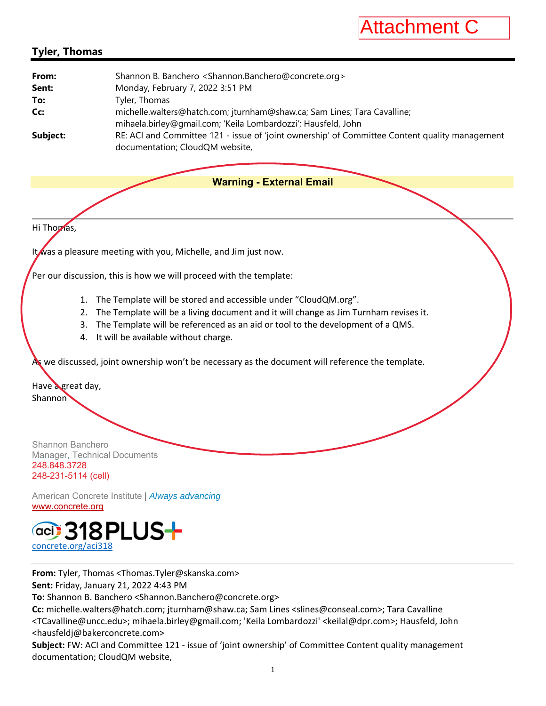

## **Tyler, Thomas**

| From:    | Shannon B. Banchero <shannon.banchero@concrete.org></shannon.banchero@concrete.org>                                                       |
|----------|-------------------------------------------------------------------------------------------------------------------------------------------|
| Sent:    | Monday, February 7, 2022 3:51 PM                                                                                                          |
| To:      | Tyler, Thomas                                                                                                                             |
| Cc:      | michelle.walters@hatch.com; jturnham@shaw.ca; Sam Lines; Tara Cavalline;<br>mihaela.birley@gmail.com; 'Keila Lombardozzi'; Hausfeld, John |
| Subject: | RE: ACI and Committee 121 - issue of 'joint ownership' of Committee Content quality management<br>documentation; CloudQM website,         |

#### **Warning - External Email**

Hi Thomas,

It was a pleasure meeting with you, Michelle, and Jim just now.

Per our discussion, this is how we will proceed with the template:

- 1. The Template will be stored and accessible under "CloudQM.org".
- 2. The Template will be a living document and it will change as Jim Turnham revises it.
- 3. The Template will be referenced as an aid or tool to the development of a QMS.
- 4. It will be available without charge.

As we discussed, joint ownership won't be necessary as the document will reference the template.

Have a great day, **Shannon** 

Shannon Banchero Manager, Technical Documents 248.848.3728 248-231-5114 (cell)

American Concrete Institute | *Always advancing*  www.concrete.org



**From:** Tyler, Thomas <Thomas.Tyler@skanska.com> **Sent:** Friday, January 21, 2022 4:43 PM

**To:** Shannon B. Banchero <Shannon.Banchero@concrete.org>

**Cc:** michelle.walters@hatch.com; jturnham@shaw.ca; Sam Lines <slines@conseal.com>; Tara Cavalline <TCavalline@uncc.edu>; mihaela.birley@gmail.com; 'Keila Lombardozzi' <keilal@dpr.com>; Hausfeld, John <hausfeldj@bakerconcrete.com>

**Subject:** FW: ACI and Committee 121 ‐ issue of 'joint ownership' of Committee Content quality management documentation; CloudQM website,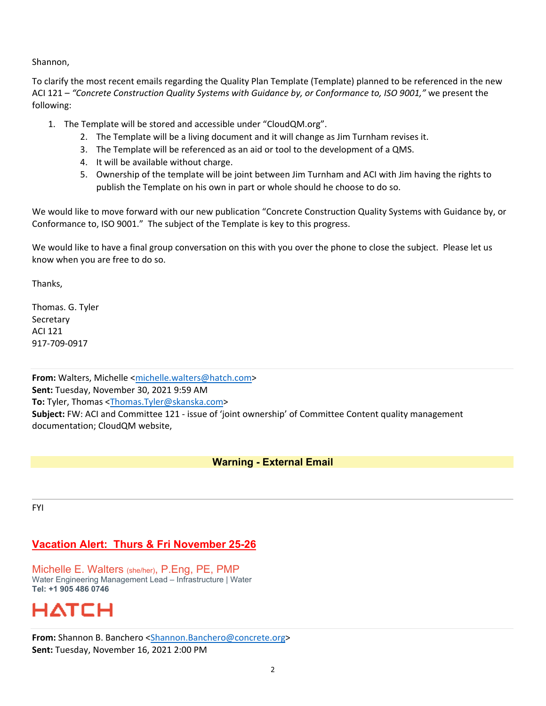Shannon,

To clarify the most recent emails regarding the Quality Plan Template (Template) planned to be referenced in the new ACI 121 – *"Concrete Construction Quality Systems with Guidance by, or Conformance to, ISO 9001,"* we present the following:

- 1. The Template will be stored and accessible under "CloudQM.org".
	- 2. The Template will be a living document and it will change as Jim Turnham revises it.
	- 3. The Template will be referenced as an aid or tool to the development of a QMS.
	- 4. It will be available without charge.
	- 5. Ownership of the template will be joint between Jim Turnham and ACI with Jim having the rights to publish the Template on his own in part or whole should he choose to do so.

We would like to move forward with our new publication "Concrete Construction Quality Systems with Guidance by, or Conformance to, ISO 9001." The subject of the Template is key to this progress.

We would like to have a final group conversation on this with you over the phone to close the subject. Please let us know when you are free to do so.

Thanks,

Thomas. G. Tyler **Secretary** ACI 121 917‐709‐0917

**From:** Walters, Michelle <michelle.walters@hatch.com> **Sent:** Tuesday, November 30, 2021 9:59 AM **To:** Tyler, Thomas <Thomas.Tyler@skanska.com> **Subject:** FW: ACI and Committee 121 ‐ issue of 'joint ownership' of Committee Content quality management documentation; CloudQM website,

#### **Warning - External Email**

FYI

## **Vacation Alert: Thurs & Fri November 25-26**

Michelle E. Walters (she/her), P.Eng, PE, PMP Water Engineering Management Lead – Infrastructure | Water **Tel: +1 905 486 0746** 

# НАТСН

**From:** Shannon B. Banchero <Shannon.Banchero@concrete.org> **Sent:** Tuesday, November 16, 2021 2:00 PM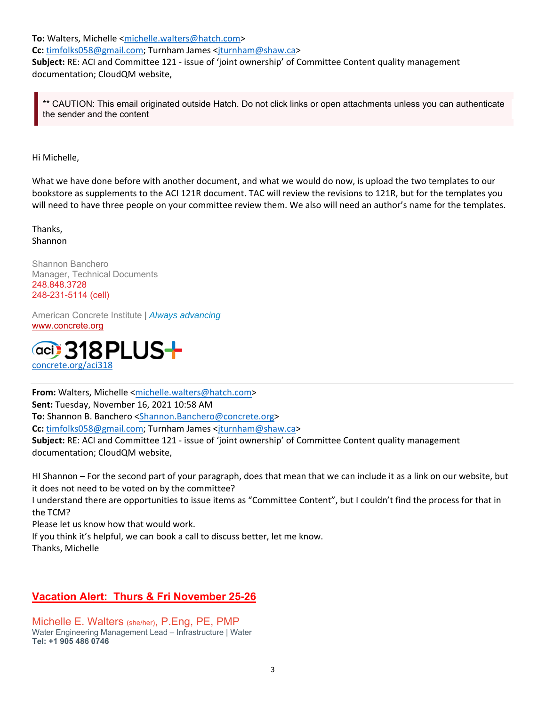**To:** Walters, Michelle <michelle.walters@hatch.com>

**Cc:** timfolks058@gmail.com; Turnham James <jturnham@shaw.ca>

**Subject:** RE: ACI and Committee 121 ‐ issue of 'joint ownership' of Committee Content quality management documentation; CloudQM website,

CAUTION: This email originated outside Hatch. Do not click links or open attachments unless you can authenticate the sender and the content

Hi Michelle,

What we have done before with another document, and what we would do now, is upload the two templates to our bookstore as supplements to the ACI 121R document. TAC will review the revisions to 121R, but for the templates you will need to have three people on your committee review them. We also will need an author's name for the templates.

Thanks, Shannon

Shannon Banchero Manager, Technical Documents 248.848.3728 248-231-5114 (cell)

American Concrete Institute | *Always advancing*  www.concrete.org



**From:** Walters, Michelle <michelle.walters@hatch.com> **Sent:** Tuesday, November 16, 2021 10:58 AM **To:** Shannon B. Banchero <Shannon.Banchero@concrete.org> **Cc:** timfolks058@gmail.com; Turnham James <jturnham@shaw.ca> **Subject:** RE: ACI and Committee 121 ‐ issue of 'joint ownership' of Committee Content quality management documentation; CloudQM website,

HI Shannon – For the second part of your paragraph, does that mean that we can include it as a link on our website, but it does not need to be voted on by the committee?

I understand there are opportunities to issue items as "Committee Content", but I couldn't find the process for that in the TCM?

Please let us know how that would work.

If you think it's helpful, we can book a call to discuss better, let me know.

Thanks, Michelle

#### **Vacation Alert: Thurs & Fri November 25-26**

Michelle E. Walters (she/her), P.Eng, PE, PMP Water Engineering Management Lead – Infrastructure | Water **Tel: +1 905 486 0746**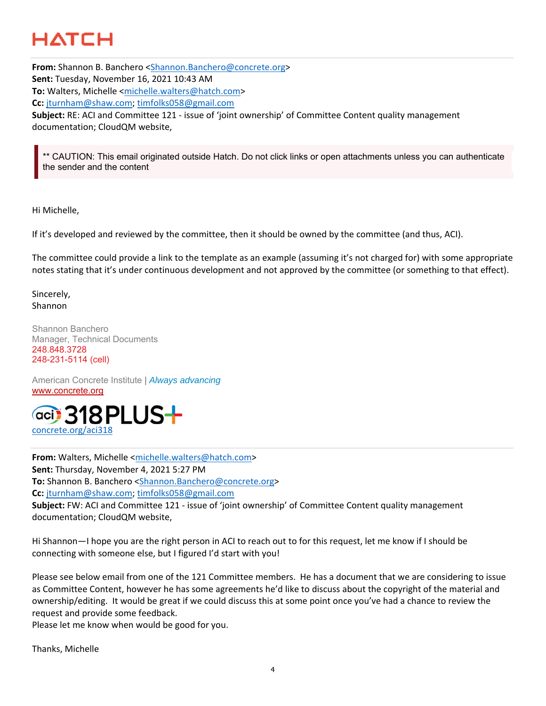# HATCH

**From:** Shannon B. Banchero <Shannon.Banchero@concrete.org> **Sent:** Tuesday, November 16, 2021 10:43 AM **To:** Walters, Michelle <michelle.walters@hatch.com> **Cc:** jturnham@shaw.com; timfolks058@gmail.com **Subject:** RE: ACI and Committee 121 ‐ issue of 'joint ownership' of Committee Content quality management documentation; CloudQM website,

CAUTION: This email originated outside Hatch. Do not click links or open attachments unless you can authenticate the sender and the content

Hi Michelle,

If it's developed and reviewed by the committee, then it should be owned by the committee (and thus, ACI).

The committee could provide a link to the template as an example (assuming it's not charged for) with some appropriate notes stating that it's under continuous development and not approved by the committee (or something to that effect).

Sincerely, Shannon

Shannon Banchero Manager, Technical Documents 248.848.3728 248-231-5114 (cell)

American Concrete Institute | *Always advancing*  www.concrete.org



**From:** Walters, Michelle <michelle.walters@hatch.com> **Sent:** Thursday, November 4, 2021 5:27 PM **To:** Shannon B. Banchero <Shannon.Banchero@concrete.org> **Cc:** jturnham@shaw.com; timfolks058@gmail.com **Subject:** FW: ACI and Committee 121 ‐ issue of 'joint ownership' of Committee Content quality management documentation; CloudQM website,

Hi Shannon—I hope you are the right person in ACI to reach out to for this request, let me know if I should be connecting with someone else, but I figured I'd start with you!

Please see below email from one of the 121 Committee members. He has a document that we are considering to issue as Committee Content, however he has some agreements he'd like to discuss about the copyright of the material and ownership/editing. It would be great if we could discuss this at some point once you've had a chance to review the request and provide some feedback.

Please let me know when would be good for you.

Thanks, Michelle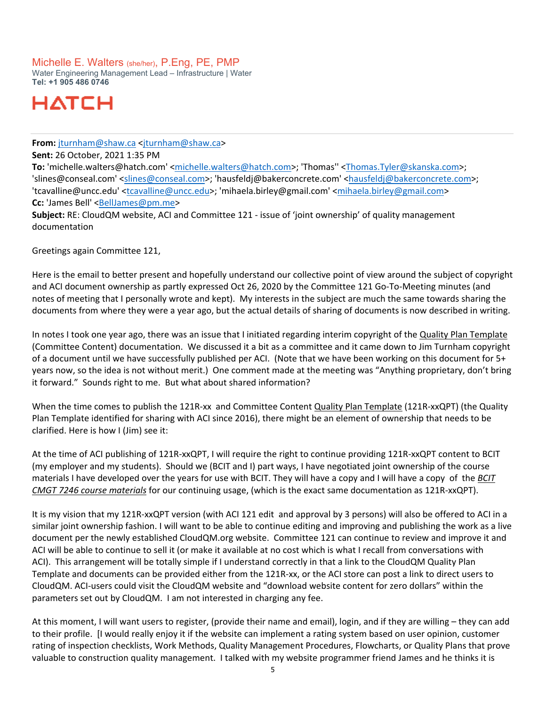### Michelle E. Walters (she/her), P.Eng, PE, PMP

Water Engineering Management Lead – Infrastructure | Water **Tel: +1 905 486 0746** 

# HATCH

**From:** jturnham@shaw.ca <jturnham@shaw.ca>

**Sent:** 26 October, 2021 1:35 PM

**To:** 'michelle.walters@hatch.com' <michelle.walters@hatch.com>; 'Thomas'' <Thomas.Tyler@skanska.com>; 'slines@conseal.com' <slines@conseal.com>; 'hausfeldj@bakerconcrete.com' <hausfeldj@bakerconcrete.com>; 'tcavalline@uncc.edu' <tcavalline@uncc.edu>; 'mihaela.birley@gmail.com' <mihaela.birley@gmail.com> **Cc:** 'James Bell' <BellJames@pm.me>

**Subject:** RE: CloudQM website, ACI and Committee 121 ‐ issue of 'joint ownership' of quality management documentation

Greetings again Committee 121,

Here is the email to better present and hopefully understand our collective point of view around the subject of copyright and ACI document ownership as partly expressed Oct 26, 2020 by the Committee 121 Go-To-Meeting minutes (and notes of meeting that I personally wrote and kept). My interests in the subject are much the same towards sharing the documents from where they were a year ago, but the actual details of sharing of documents is now described in writing.

In notes I took one year ago, there was an issue that I initiated regarding interim copyright of the Quality Plan Template (Committee Content) documentation. We discussed it a bit as a committee and it came down to Jim Turnham copyright of a document until we have successfully published per ACI. (Note that we have been working on this document for 5+ years now, so the idea is not without merit.) One comment made at the meeting was "Anything proprietary, don't bring it forward." Sounds right to me. But what about shared information?

When the time comes to publish the 121R-xx and Committee Content Quality Plan Template (121R-xxQPT) (the Quality Plan Template identified for sharing with ACI since 2016), there might be an element of ownership that needs to be clarified. Here is how I (Jim) see it:

At the time of ACI publishing of 121R‐xxQPT, I will require the right to continue providing 121R‐xxQPT content to BCIT (my employer and my students). Should we (BCIT and I) part ways, I have negotiated joint ownership of the course materials I have developed over the years for use with BCIT. They will have a copy and I will have a copy of the *BCIT CMGT 7246 course materials* for our continuing usage, (which is the exact same documentation as 121R‐xxQPT).

It is my vision that my 121R-xxQPT version (with ACI 121 edit and approval by 3 persons) will also be offered to ACI in a similar joint ownership fashion. I will want to be able to continue editing and improving and publishing the work as a live document per the newly established CloudQM.org website. Committee 121 can continue to review and improve it and ACI will be able to continue to sell it (or make it available at no cost which is what I recall from conversations with ACI). This arrangement will be totally simple if I understand correctly in that a link to the CloudQM Quality Plan Template and documents can be provided either from the 121R‐xx, or the ACI store can post a link to direct users to CloudQM. ACI‐users could visit the CloudQM website and "download website content for zero dollars" within the parameters set out by CloudQM. I am not interested in charging any fee.

At this moment, I will want users to register, (provide their name and email), login, and if they are willing – they can add to their profile. [I would really enjoy it if the website can implement a rating system based on user opinion, customer rating of inspection checklists, Work Methods, Quality Management Procedures, Flowcharts, or Quality Plans that prove valuable to construction quality management. I talked with my website programmer friend James and he thinks it is